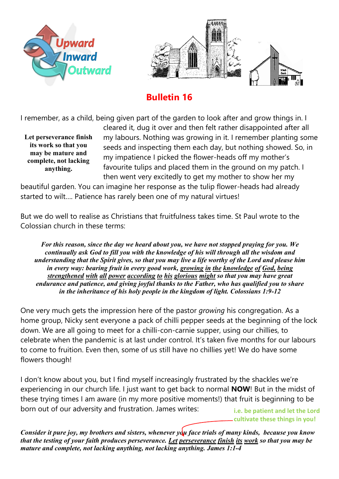



## **Bulletin 16**

I remember, as a child, being given part of the garden to look after and grow things in. I

**Let perseverance finish its work so that you may be mature and complete, not lacking anything.**

cleared it, dug it over and then felt rather disappointed after all my labours. Nothing was growing in it. I remember planting some seeds and inspecting them each day, but nothing showed. So, in my impatience I picked the flower-heads off my mother's favourite tulips and placed them in the ground on my patch. I then went very excitedly to get my mother to show her my

beautiful garden. You can imagine her response as the tulip flower-heads had already started to wilt…. Patience has rarely been one of my natural virtues!

But we do well to realise as Christians that fruitfulness takes time. St Paul wrote to the Colossian church in these terms:

*For this reason, since the day we heard about you, we have not stopped praying for you. We continually ask God to fill you with the knowledge of his will through all the wisdom and understanding that the Spirit gives, so that you may live a life worthy of the Lord and please him in every way: bearing fruit in every good work, growing in the knowledge of God, being strengthened with all power according to his glorious might so that you may have great endurance and patience, and giving joyful thanks to the Father, who has qualified you to share in the inheritance of his holy people in the kingdom of light. Colossians 1:9-12*

One very much gets the impression here of the pastor *growing* his congregation. As a home group, Nicky sent everyone a pack of chilli pepper seeds at the beginning of the lock down. We are all going to meet for a chilli-con-carnie supper, using our chillies, to celebrate when the pandemic is at last under control. It's taken five months for our labours to come to fruition. Even then, some of us still have no chillies yet! We do have some flowers though!

I don't know about you, but I find myself increasingly frustrated by the shackles we're experiencing in our church life. I just want to get back to normal **NOW**! But in the midst of these trying times I am aware (in my more positive moments!) that fruit is beginning to be born out of our adversity and frustration. James writes:

**i.e. be patient and let the Lord cultivate these things in you!**

*Consider it pure joy, my brothers and sisters, whenever you face trials of many kinds, because you know that the testing of your faith produces perseverance. Let perseverance finish its work so that you may be mature and complete, not lacking anything, not lacking anything. James 1:1-4*